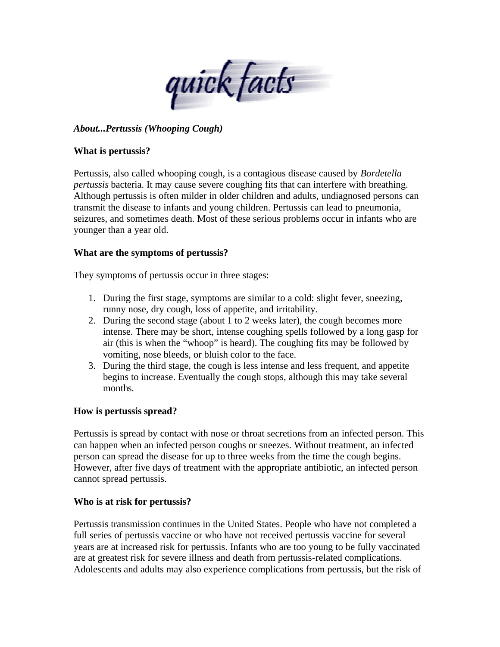

# *About...Pertussis (Whooping Cough)*

#### **What is pertussis?**

Pertussis, also called whooping cough, is a contagious disease caused by *Bordetella pertussis* bacteria. It may cause severe coughing fits that can interfere with breathing. Although pertussis is often milder in older children and adults, undiagnosed persons can transmit the disease to infants and young children. Pertussis can lead to pneumonia, seizures, and sometimes death. Most of these serious problems occur in infants who are younger than a year old.

### **What are the symptoms of pertussis?**

They symptoms of pertussis occur in three stages:

- 1. During the first stage, symptoms are similar to a cold: slight fever, sneezing, runny nose, dry cough, loss of appetite, and irritability.
- 2. During the second stage (about 1 to 2 weeks later), the cough becomes more intense. There may be short, intense coughing spells followed by a long gasp for air (this is when the "whoop" is heard). The coughing fits may be followed by vomiting, nose bleeds, or bluish color to the face.
- 3. During the third stage, the cough is less intense and less frequent, and appetite begins to increase. Eventually the cough stops, although this may take several months.

### **How is pertussis spread?**

Pertussis is spread by contact with nose or throat secretions from an infected person. This can happen when an infected person coughs or sneezes. Without treatment, an infected person can spread the disease for up to three weeks from the time the cough begins. However, after five days of treatment with the appropriate antibiotic, an infected person cannot spread pertussis.

#### **Who is at risk for pertussis?**

Pertussis transmission continues in the United States. People who have not completed a full series of pertussis vaccine or who have not received pertussis vaccine for several years are at increased risk for pertussis. Infants who are too young to be fully vaccinated are at greatest risk for severe illness and death from pertussis-related complications. Adolescents and adults may also experience complications from pertussis, but the risk of